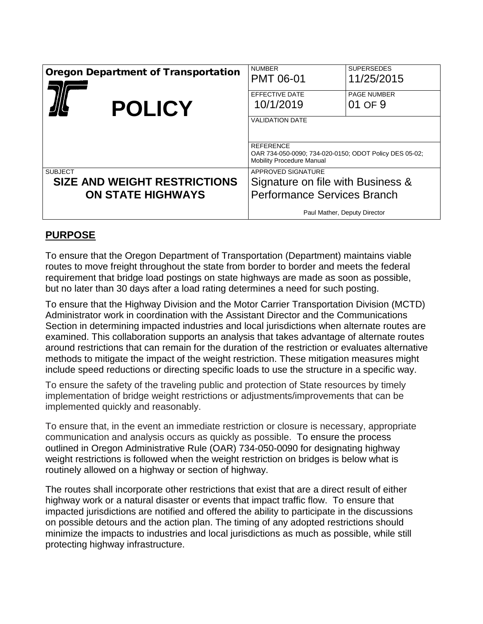| <b>Oregon Department of Transportation</b><br><b>POLICY</b>                       | <b>NUMBER</b><br><b>PMT 06-01</b><br>EFFECTIVE DATE<br>10/1/2019<br><b>VALIDATION DATE</b>                                    | <b>SUPERSEDES</b><br>11/25/2015<br><b>PAGE NUMBER</b><br>01 OF 9 |
|-----------------------------------------------------------------------------------|-------------------------------------------------------------------------------------------------------------------------------|------------------------------------------------------------------|
|                                                                                   | <b>REFERENCE</b><br>OAR 734-050-0090; 734-020-0150; ODOT Policy DES 05-02;<br><b>Mobility Procedure Manual</b>                |                                                                  |
| <b>SUBJECT</b><br><b>SIZE AND WEIGHT RESTRICTIONS</b><br><b>ON STATE HIGHWAYS</b> | APPROVED SIGNATURE<br>Signature on file with Business &<br><b>Performance Services Branch</b><br>Paul Mather, Deputy Director |                                                                  |

### **PURPOSE**

To ensure that the Oregon Department of Transportation (Department) maintains viable routes to move freight throughout the state from border to border and meets the federal requirement that bridge load postings on state highways are made as soon as possible, but no later than 30 days after a load rating determines a need for such posting.

To ensure that the Highway Division and the Motor Carrier Transportation Division (MCTD) Administrator work in coordination with the Assistant Director and the Communications Section in determining impacted industries and local jurisdictions when alternate routes are examined. This collaboration supports an analysis that takes advantage of alternate routes around restrictions that can remain for the duration of the restriction or evaluates alternative methods to mitigate the impact of the weight restriction. These mitigation measures might include speed reductions or directing specific loads to use the structure in a specific way.

To ensure the safety of the traveling public and protection of State resources by timely implementation of bridge weight restrictions or adjustments/improvements that can be implemented quickly and reasonably.

To ensure that, in the event an immediate restriction or closure is necessary, appropriate communication and analysis occurs as quickly as possible. To ensure the process outlined in Oregon Administrative Rule (OAR) 734-050-0090 for designating highway weight restrictions is followed when the weight restriction on bridges is below what is routinely allowed on a highway or section of highway.

The routes shall incorporate other restrictions that exist that are a direct result of either highway work or a natural disaster or events that impact traffic flow. To ensure that impacted jurisdictions are notified and offered the ability to participate in the discussions on possible detours and the action plan. The timing of any adopted restrictions should minimize the impacts to industries and local jurisdictions as much as possible, while still protecting highway infrastructure.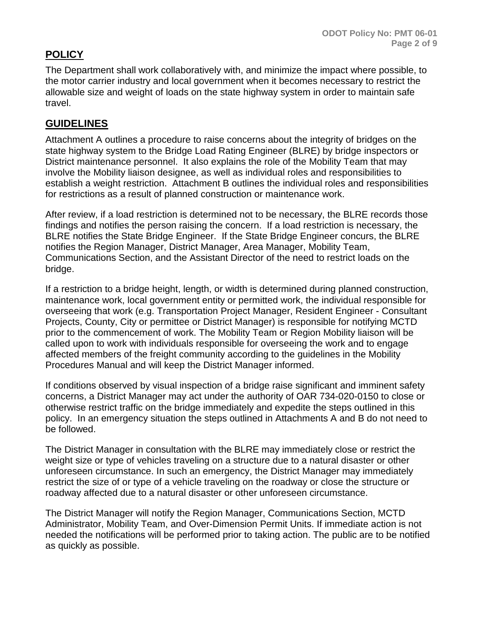# **POLICY**

The Department shall work collaboratively with, and minimize the impact where possible, to the motor carrier industry and local government when it becomes necessary to restrict the allowable size and weight of loads on the state highway system in order to maintain safe travel.

### **GUIDELINES**

Attachment A outlines a procedure to raise concerns about the integrity of bridges on the state highway system to the Bridge Load Rating Engineer (BLRE) by bridge inspectors or District maintenance personnel. It also explains the role of the Mobility Team that may involve the Mobility liaison designee, as well as individual roles and responsibilities to establish a weight restriction. Attachment B outlines the individual roles and responsibilities for restrictions as a result of planned construction or maintenance work.

After review, if a load restriction is determined not to be necessary, the BLRE records those findings and notifies the person raising the concern. If a load restriction is necessary, the BLRE notifies the State Bridge Engineer. If the State Bridge Engineer concurs, the BLRE notifies the Region Manager, District Manager, Area Manager, Mobility Team, Communications Section, and the Assistant Director of the need to restrict loads on the bridge.

If a restriction to a bridge height, length, or width is determined during planned construction, maintenance work, local government entity or permitted work, the individual responsible for overseeing that work (e.g. Transportation Project Manager, Resident Engineer - Consultant Projects, County, City or permittee or District Manager) is responsible for notifying MCTD prior to the commencement of work. The Mobility Team or Region Mobility liaison will be called upon to work with individuals responsible for overseeing the work and to engage affected members of the freight community according to the guidelines in the Mobility Procedures Manual and will keep the District Manager informed.

If conditions observed by visual inspection of a bridge raise significant and imminent safety concerns, a District Manager may act under the authority of OAR 734-020-0150 to close or otherwise restrict traffic on the bridge immediately and expedite the steps outlined in this policy. In an emergency situation the steps outlined in Attachments A and B do not need to be followed.

The District Manager in consultation with the BLRE may immediately close or restrict the weight size or type of vehicles traveling on a structure due to a natural disaster or other unforeseen circumstance. In such an emergency, the District Manager may immediately restrict the size of or type of a vehicle traveling on the roadway or close the structure or roadway affected due to a natural disaster or other unforeseen circumstance.

The District Manager will notify the Region Manager, Communications Section, MCTD Administrator, Mobility Team, and Over-Dimension Permit Units. If immediate action is not needed the notifications will be performed prior to taking action. The public are to be notified as quickly as possible.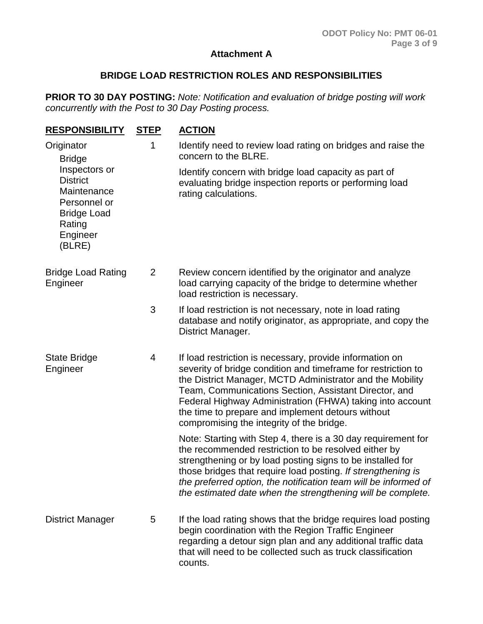#### **Attachment A**

#### **BRIDGE LOAD RESTRICTION ROLES AND RESPONSIBILITIES**

**PRIOR TO 30 DAY POSTING:** *Note: Notification and evaluation of bridge posting will work concurrently with the Post to 30 Day Posting process.* 

| <b>RESPONSIBILITY</b>                                                                                                                                | <b>STEP</b>    | <b>ACTION</b>                                                                                                                                                                                                                                                                                                                                                                                                  |
|------------------------------------------------------------------------------------------------------------------------------------------------------|----------------|----------------------------------------------------------------------------------------------------------------------------------------------------------------------------------------------------------------------------------------------------------------------------------------------------------------------------------------------------------------------------------------------------------------|
| Originator<br><b>Bridge</b><br>Inspectors or<br><b>District</b><br>Maintenance<br>Personnel or<br><b>Bridge Load</b><br>Rating<br>Engineer<br>(BLRE) | 1              | Identify need to review load rating on bridges and raise the<br>concern to the BLRE.                                                                                                                                                                                                                                                                                                                           |
|                                                                                                                                                      |                | Identify concern with bridge load capacity as part of<br>evaluating bridge inspection reports or performing load<br>rating calculations.                                                                                                                                                                                                                                                                       |
| <b>Bridge Load Rating</b><br>Engineer                                                                                                                | $\overline{2}$ | Review concern identified by the originator and analyze<br>load carrying capacity of the bridge to determine whether<br>load restriction is necessary.                                                                                                                                                                                                                                                         |
|                                                                                                                                                      | 3              | If load restriction is not necessary, note in load rating<br>database and notify originator, as appropriate, and copy the<br>District Manager.                                                                                                                                                                                                                                                                 |
| <b>State Bridge</b><br>Engineer                                                                                                                      | 4              | If load restriction is necessary, provide information on<br>severity of bridge condition and timeframe for restriction to<br>the District Manager, MCTD Administrator and the Mobility<br>Team, Communications Section, Assistant Director, and<br>Federal Highway Administration (FHWA) taking into account<br>the time to prepare and implement detours without<br>compromising the integrity of the bridge. |
|                                                                                                                                                      |                | Note: Starting with Step 4, there is a 30 day requirement for<br>the recommended restriction to be resolved either by<br>strengthening or by load posting signs to be installed for<br>those bridges that require load posting. If strengthening is<br>the preferred option, the notification team will be informed of<br>the estimated date when the strengthening will be complete.                          |
| <b>District Manager</b>                                                                                                                              | 5              | If the load rating shows that the bridge requires load posting<br>begin coordination with the Region Traffic Engineer<br>regarding a detour sign plan and any additional traffic data<br>that will need to be collected such as truck classification<br>counts.                                                                                                                                                |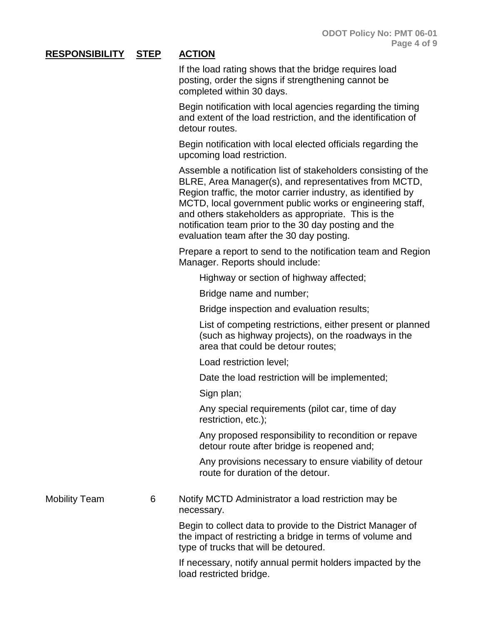If the load rating shows that the bridge requires load posting, order the signs if strengthening cannot be completed within 30 days.

Begin notification with local agencies regarding the timing and extent of the load restriction, and the identification of detour routes.

Begin notification with local elected officials regarding the upcoming load restriction.

Assemble a notification list of stakeholders consisting of the BLRE, Area Manager(s), and representatives from MCTD, Region traffic, the motor carrier industry, as identified by MCTD, local government public works or engineering staff, and others stakeholders as appropriate. This is the notification team prior to the 30 day posting and the evaluation team after the 30 day posting.

Prepare a report to send to the notification team and Region Manager. Reports should include:

Highway or section of highway affected;

Bridge name and number;

Bridge inspection and evaluation results;

List of competing restrictions, either present or planned (such as highway projects), on the roadways in the area that could be detour routes;

Load restriction level;

Date the load restriction will be implemented;

Sign plan;

Any special requirements (pilot car, time of day restriction, etc.);

Any proposed responsibility to recondition or repave detour route after bridge is reopened and;

Any provisions necessary to ensure viability of detour route for duration of the detour.

Mobility Team 6 Notify MCTD Administrator a load restriction may be necessary.

> Begin to collect data to provide to the District Manager of the impact of restricting a bridge in terms of volume and type of trucks that will be detoured.

If necessary, notify annual permit holders impacted by the load restricted bridge.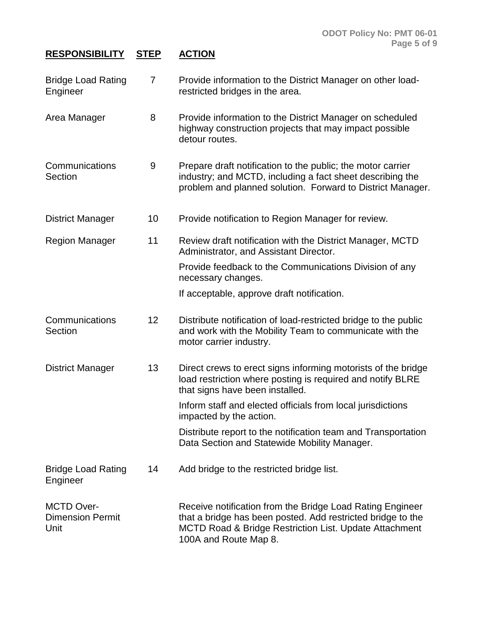| <b>Bridge Load Rating</b><br>Engineer                | $\overline{7}$  | Provide information to the District Manager on other load-<br>restricted bridges in the area.                                                                                                               |
|------------------------------------------------------|-----------------|-------------------------------------------------------------------------------------------------------------------------------------------------------------------------------------------------------------|
| Area Manager                                         | 8               | Provide information to the District Manager on scheduled<br>highway construction projects that may impact possible<br>detour routes.                                                                        |
| Communications<br>Section                            | 9               | Prepare draft notification to the public; the motor carrier<br>industry; and MCTD, including a fact sheet describing the<br>problem and planned solution. Forward to District Manager.                      |
| <b>District Manager</b>                              | 10              | Provide notification to Region Manager for review.                                                                                                                                                          |
| <b>Region Manager</b>                                | 11              | Review draft notification with the District Manager, MCTD<br>Administrator, and Assistant Director.                                                                                                         |
|                                                      |                 | Provide feedback to the Communications Division of any<br>necessary changes.                                                                                                                                |
|                                                      |                 | If acceptable, approve draft notification.                                                                                                                                                                  |
| Communications<br>Section                            | 12 <sub>2</sub> | Distribute notification of load-restricted bridge to the public<br>and work with the Mobility Team to communicate with the<br>motor carrier industry.                                                       |
| <b>District Manager</b>                              | 13              | Direct crews to erect signs informing motorists of the bridge<br>load restriction where posting is required and notify BLRE<br>that signs have been installed.                                              |
|                                                      |                 | Inform staff and elected officials from local jurisdictions<br>impacted by the action.                                                                                                                      |
|                                                      |                 | Distribute report to the notification team and Transportation<br>Data Section and Statewide Mobility Manager.                                                                                               |
| <b>Bridge Load Rating</b><br>Engineer                | 14              | Add bridge to the restricted bridge list.                                                                                                                                                                   |
| <b>MCTD Over-</b><br><b>Dimension Permit</b><br>Unit |                 | Receive notification from the Bridge Load Rating Engineer<br>that a bridge has been posted. Add restricted bridge to the<br>MCTD Road & Bridge Restriction List. Update Attachment<br>100A and Route Map 8. |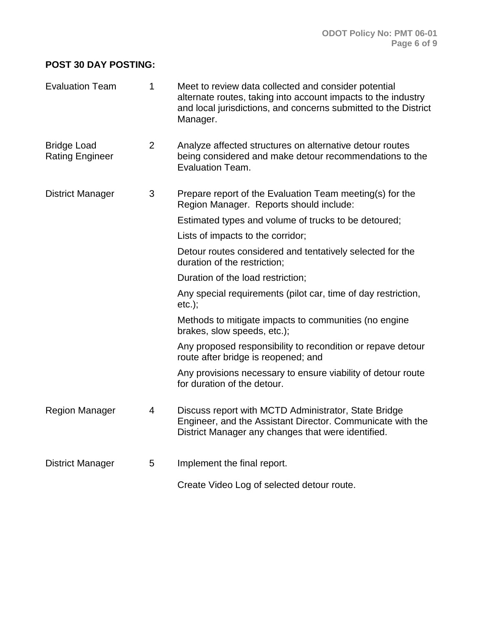### **POST 30 DAY POSTING:**

| <b>Evaluation Team</b>                       | 1              | Meet to review data collected and consider potential<br>alternate routes, taking into account impacts to the industry<br>and local jurisdictions, and concerns submitted to the District<br>Manager. |
|----------------------------------------------|----------------|------------------------------------------------------------------------------------------------------------------------------------------------------------------------------------------------------|
| <b>Bridge Load</b><br><b>Rating Engineer</b> | 2              | Analyze affected structures on alternative detour routes<br>being considered and make detour recommendations to the<br><b>Evaluation Team.</b>                                                       |
| <b>District Manager</b>                      | 3              | Prepare report of the Evaluation Team meeting(s) for the<br>Region Manager. Reports should include:                                                                                                  |
|                                              |                | Estimated types and volume of trucks to be detoured;                                                                                                                                                 |
|                                              |                | Lists of impacts to the corridor;                                                                                                                                                                    |
|                                              |                | Detour routes considered and tentatively selected for the<br>duration of the restriction;                                                                                                            |
|                                              |                | Duration of the load restriction;                                                                                                                                                                    |
|                                              |                | Any special requirements (pilot car, time of day restriction,<br>$etc.$ ;                                                                                                                            |
|                                              |                | Methods to mitigate impacts to communities (no engine<br>brakes, slow speeds, etc.);                                                                                                                 |
|                                              |                | Any proposed responsibility to recondition or repave detour<br>route after bridge is reopened; and                                                                                                   |
|                                              |                | Any provisions necessary to ensure viability of detour route<br>for duration of the detour.                                                                                                          |
| <b>Region Manager</b>                        | $\overline{4}$ | Discuss report with MCTD Administrator, State Bridge<br>Engineer, and the Assistant Director. Communicate with the<br>District Manager any changes that were identified.                             |
| <b>District Manager</b>                      | 5              | Implement the final report.                                                                                                                                                                          |
|                                              |                | Create Video Log of selected detour route.                                                                                                                                                           |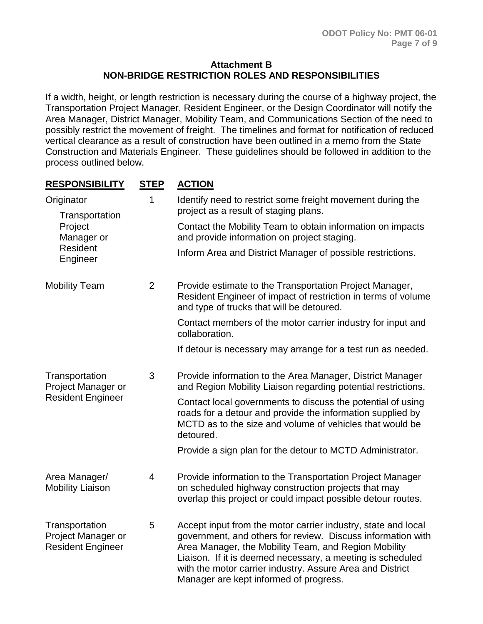#### **Attachment B NON-BRIDGE RESTRICTION ROLES AND RESPONSIBILITIES**

If a width, height, or length restriction is necessary during the course of a highway project, the Transportation Project Manager, Resident Engineer, or the Design Coordinator will notify the Area Manager, District Manager, Mobility Team, and Communications Section of the need to possibly restrict the movement of freight. The timelines and format for notification of reduced vertical clearance as a result of construction have been outlined in a memo from the State Construction and Materials Engineer. These guidelines should be followed in addition to the process outlined below.

| <b>RESPONSIBILITY</b>                                                         | <b>STEP</b>    | <b>ACTION</b>                                                                                                                                                                                                                                                                                                                                             |
|-------------------------------------------------------------------------------|----------------|-----------------------------------------------------------------------------------------------------------------------------------------------------------------------------------------------------------------------------------------------------------------------------------------------------------------------------------------------------------|
| Originator<br>Transportation<br>Project<br>Manager or<br>Resident<br>Engineer | 1              | Identify need to restrict some freight movement during the<br>project as a result of staging plans.                                                                                                                                                                                                                                                       |
|                                                                               |                | Contact the Mobility Team to obtain information on impacts<br>and provide information on project staging.                                                                                                                                                                                                                                                 |
|                                                                               |                | Inform Area and District Manager of possible restrictions.                                                                                                                                                                                                                                                                                                |
| <b>Mobility Team</b>                                                          | $\overline{2}$ | Provide estimate to the Transportation Project Manager,<br>Resident Engineer of impact of restriction in terms of volume<br>and type of trucks that will be detoured.                                                                                                                                                                                     |
|                                                                               |                | Contact members of the motor carrier industry for input and<br>collaboration.                                                                                                                                                                                                                                                                             |
|                                                                               |                | If detour is necessary may arrange for a test run as needed.                                                                                                                                                                                                                                                                                              |
| Transportation<br>Project Manager or<br><b>Resident Engineer</b>              | 3              | Provide information to the Area Manager, District Manager<br>and Region Mobility Liaison regarding potential restrictions.                                                                                                                                                                                                                                |
|                                                                               |                | Contact local governments to discuss the potential of using<br>roads for a detour and provide the information supplied by<br>MCTD as to the size and volume of vehicles that would be<br>detoured.                                                                                                                                                        |
|                                                                               |                | Provide a sign plan for the detour to MCTD Administrator.                                                                                                                                                                                                                                                                                                 |
| Area Manager/<br><b>Mobility Liaison</b>                                      | 4              | Provide information to the Transportation Project Manager<br>on scheduled highway construction projects that may<br>overlap this project or could impact possible detour routes.                                                                                                                                                                          |
| Transportation<br>Project Manager or<br><b>Resident Engineer</b>              | 5              | Accept input from the motor carrier industry, state and local<br>government, and others for review. Discuss information with<br>Area Manager, the Mobility Team, and Region Mobility<br>Liaison. If it is deemed necessary, a meeting is scheduled<br>with the motor carrier industry. Assure Area and District<br>Manager are kept informed of progress. |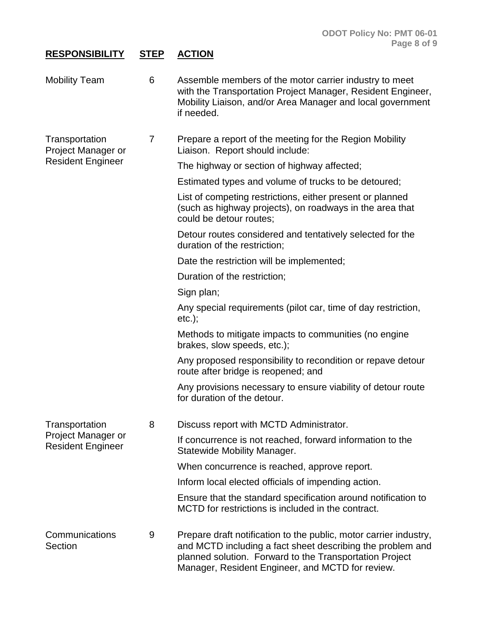| <b>Mobility Team</b>                           | 6 | Assemble members of the motor carrier industry to meet<br>with the Transportation Project Manager, Resident Engineer,<br>Mobility Liaison, and/or Area Manager and local government<br>if needed. |
|------------------------------------------------|---|---------------------------------------------------------------------------------------------------------------------------------------------------------------------------------------------------|
| Transportation<br>Project Manager or           | 7 | Prepare a report of the meeting for the Region Mobility<br>Liaison. Report should include:                                                                                                        |
| <b>Resident Engineer</b>                       |   | The highway or section of highway affected;                                                                                                                                                       |
|                                                |   | Estimated types and volume of trucks to be detoured;                                                                                                                                              |
|                                                |   | List of competing restrictions, either present or planned<br>(such as highway projects), on roadways in the area that<br>could be detour routes;                                                  |
|                                                |   | Detour routes considered and tentatively selected for the<br>duration of the restriction;                                                                                                         |
|                                                |   | Date the restriction will be implemented;                                                                                                                                                         |
|                                                |   | Duration of the restriction;                                                                                                                                                                      |
|                                                |   | Sign plan;                                                                                                                                                                                        |
|                                                |   | Any special requirements (pilot car, time of day restriction,<br>$etc.$ ;                                                                                                                         |
|                                                |   | Methods to mitigate impacts to communities (no engine<br>brakes, slow speeds, etc.);                                                                                                              |
|                                                |   | Any proposed responsibility to recondition or repave detour<br>route after bridge is reopened; and                                                                                                |
|                                                |   | Any provisions necessary to ensure viability of detour route<br>for duration of the detour.                                                                                                       |
| Transportation                                 | 8 | Discuss report with MCTD Administrator.                                                                                                                                                           |
| Project Manager or<br><b>Resident Engineer</b> |   | If concurrence is not reached, forward information to the<br><b>Statewide Mobility Manager.</b>                                                                                                   |
|                                                |   | When concurrence is reached, approve report.                                                                                                                                                      |
|                                                |   | Inform local elected officials of impending action.                                                                                                                                               |
|                                                |   | Ensure that the standard specification around notification to<br>MCTD for restrictions is included in the contract.                                                                               |
| Communications<br>Section                      | 9 | Prepare draft notification to the public, motor carrier industry,<br>and MCTD including a fact sheet describing the problem and<br>planned solution. Forward to the Transportation Project        |

Manager, Resident Engineer, and MCTD for review.